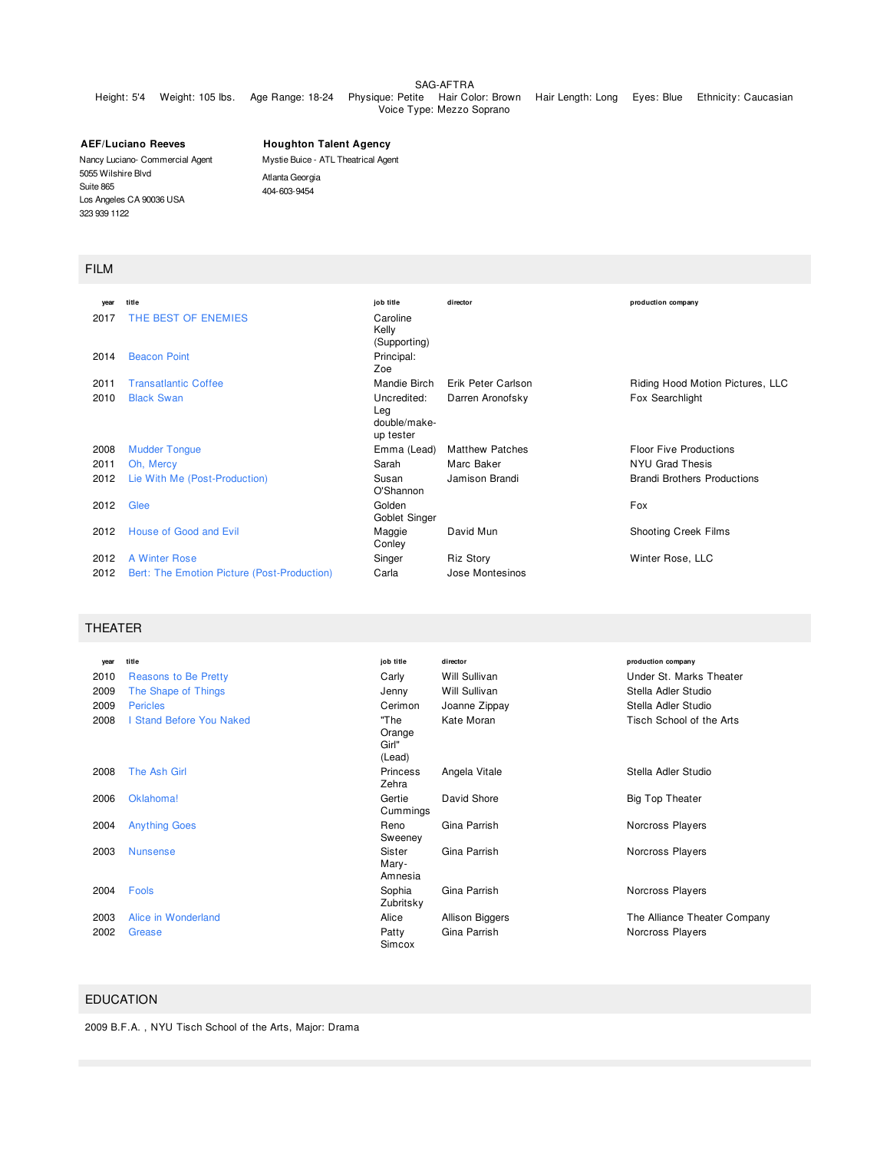#### SAG-AFTRA

### Height: 5'4 Weight: 105 lbs. Age Range: 18-24 Physique: Petite Hair Color: Brown Hair Length: Long Eyes: Blue Ethnicity: Caucasian Voice Type: Mezzo Soprano

**AEF/Luciano Reeves** Nancy Luciano- Commercial Agent 5055 Wilshire Blvd Suite 865 Los Angeles CA 90036 USA 323 939 1122

**Houghton Talent Agency**

Mystie Buice - ATL Theatrical Agent Atlanta Georgia 404-603-9454

### FILM

| vear | title                                       | job title                                       | director               | production company                 |
|------|---------------------------------------------|-------------------------------------------------|------------------------|------------------------------------|
| 2017 | THE BEST OF ENEMIES                         | Caroline<br>Kelly<br>(Supporting)               |                        |                                    |
| 2014 | <b>Beacon Point</b>                         | Principal:<br>Zoe                               |                        |                                    |
| 2011 | <b>Transatlantic Coffee</b>                 | Mandie Birch                                    | Erik Peter Carlson     | Riding Hood Motion Pictures, LLC   |
| 2010 | <b>Black Swan</b>                           | Uncredited:<br>Leg<br>double/make-<br>up tester | Darren Aronofsky       | Fox Searchlight                    |
| 2008 | <b>Mudder Tongue</b>                        | Emma (Lead)                                     | <b>Matthew Patches</b> | <b>Floor Five Productions</b>      |
| 2011 | Oh, Mercy                                   | Sarah                                           | Marc Baker             | NYU Grad Thesis                    |
| 2012 | Lie With Me (Post-Production)               | Susan<br>O'Shannon                              | Jamison Brandi         | <b>Brandi Brothers Productions</b> |
| 2012 | Glee                                        | Golden<br>Goblet Singer                         |                        | Fox                                |
| 2012 | House of Good and Evil                      | Maggie<br>Conley                                | David Mun              | Shooting Creek Films               |
| 2012 | A Winter Rose                               | Singer                                          | <b>Riz Story</b>       | Winter Rose, LLC                   |
| 2012 | Bert: The Emotion Picture (Post-Production) | Carla                                           | Jose Montesinos        |                                    |

# THEATER

| year | title                           | job title                         | director        | production company           |
|------|---------------------------------|-----------------------------------|-----------------|------------------------------|
| 2010 | Reasons to Be Pretty            | Carly                             | Will Sullivan   | Under St. Marks Theater      |
| 2009 | The Shape of Things             | Jenny                             | Will Sullivan   | Stella Adler Studio          |
| 2009 | <b>Pericles</b>                 | Cerimon                           | Joanne Zippay   | Stella Adler Studio          |
| 2008 | <b>I Stand Before You Naked</b> | "The<br>Orange<br>Girl"<br>(Lead) | Kate Moran      | Tisch School of the Arts     |
| 2008 | The Ash Girl                    | <b>Princess</b><br>Zehra          | Angela Vitale   | Stella Adler Studio          |
| 2006 | Oklahoma!                       | Gertie<br>Cummings                | David Shore     | <b>Big Top Theater</b>       |
| 2004 | <b>Anything Goes</b>            | Reno<br>Sweeney                   | Gina Parrish    | Norcross Players             |
| 2003 | <b>Nunsense</b>                 | Sister<br>Mary-<br>Amnesia        | Gina Parrish    | Norcross Players             |
| 2004 | Fools                           | Sophia<br>Zubritsky               | Gina Parrish    | Norcross Players             |
| 2003 | Alice in Wonderland             | Alice                             | Allison Biggers | The Alliance Theater Company |
| 2002 | Grease                          | Patty<br>Simcox                   | Gina Parrish    | Norcross Players             |

## EDUCATION

2009 B.F.A. , NYU Tisch School of the Arts, Major: Drama